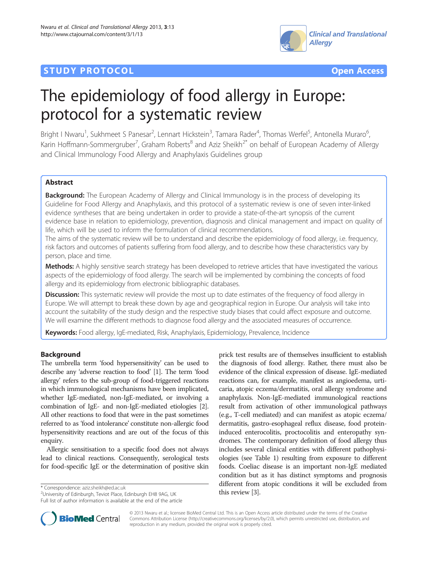# **STUDY PROTOCOL STUDY PROTOCOL**





# The epidemiology of food allergy in Europe: protocol for a systematic review

Bright I Nwaru<sup>1</sup>, Sukhmeet S Panesar<sup>2</sup>, Lennart Hickstein<sup>3</sup>, Tamara Rader<sup>4</sup>, Thomas Werfel<sup>5</sup>, Antonella Muraro<sup>6</sup> , Karin Hoffmann-Sommergruber<sup>7</sup>, Graham Roberts<sup>8</sup> and Aziz Sheikh<sup>2\*</sup> on behalf of European Academy of Allergy and Clinical Immunology Food Allergy and Anaphylaxis Guidelines group

# Abstract

**Background:** The European Academy of Allergy and Clinical Immunology is in the process of developing its Guideline for Food Allergy and Anaphylaxis, and this protocol of a systematic review is one of seven inter-linked evidence syntheses that are being undertaken in order to provide a state-of-the-art synopsis of the current evidence base in relation to epidemiology, prevention, diagnosis and clinical management and impact on quality of life, which will be used to inform the formulation of clinical recommendations.

The aims of the systematic review will be to understand and describe the epidemiology of food allergy, i.e. frequency, risk factors and outcomes of patients suffering from food allergy, and to describe how these characteristics vary by person, place and time.

Methods: A highly sensitive search strategy has been developed to retrieve articles that have investigated the various aspects of the epidemiology of food allergy. The search will be implemented by combining the concepts of food allergy and its epidemiology from electronic bibliographic databases.

Discussion: This systematic review will provide the most up to date estimates of the frequency of food allergy in Europe. We will attempt to break these down by age and geographical region in Europe. Our analysis will take into account the suitability of the study design and the respective study biases that could affect exposure and outcome. We will examine the different methods to diagnose food allergy and the associated measures of occurrence.

Keywords: Food allergy, IgE-mediated, Risk, Anaphylaxis, Epidemiology, Prevalence, Incidence

# Background

The umbrella term 'food hypersensitivity' can be used to describe any 'adverse reaction to food' [\[1](#page-4-0)]. The term 'food allergy' refers to the sub-group of food-triggered reactions in which immunological mechanisms have been implicated, whether IgE-mediated, non-IgE-mediated, or involving a combination of IgE- and non-IgE-mediated etiologies [[2](#page-4-0)]. All other reactions to food that were in the past sometimes referred to as 'food intolerance' constitute non-allergic food hypersensitivity reactions and are out of the focus of this enquiry.

Allergic sensitisation to a specific food does not always lead to clinical reactions. Consequently, serological tests for food-specific IgE or the determination of positive skin

\* Correspondence: [aziz.sheikh@ed.ac.uk](mailto:aziz.sheikh@ed.ac.uk) 2001 - 2016 - 2016 - 2016 - 2017<br><sup>2</sup>University of Edinburgh, Teviot Place, Edinburgh EH8 9AG, UK 2001 - 2018 - 2018 - 2018 - 2018 - 2018 - 2018 -Full list of author information is available at the end of the article

prick test results are of themselves insufficient to establish the diagnosis of food allergy. Rather, there must also be evidence of the clinical expression of disease. IgE-mediated reactions can, for example, manifest as angioedema, urticaria, atopic eczema/dermatitis, oral allergy syndrome and anaphylaxis. Non-IgE-mediated immunological reactions result from activation of other immunological pathways (e.g., T-cell mediated) and can manifest as atopic eczema/ dermatitis, gastro-esophageal reflux disease, food proteininduced enterocolitis, proctocolitis and enteropathy syndromes. The contemporary definition of food allergy thus includes several clinical entities with different pathophysiologies (see Table [1\)](#page-1-0) resulting from exposure to different foods. Coeliac disease is an important non-IgE mediated condition but as it has distinct symptoms and prognosis different from atopic conditions it will be excluded from



© 2013 Nwaru et al.; licensee BioMed Central Ltd. This is an Open Access article distributed under the terms of the Creative Commons Attribution License [\(http://creativecommons.org/licenses/by/2.0\)](http://creativecommons.org/licenses/by/2.0), which permits unrestricted use, distribution, and reproduction in any medium, provided the original work is properly cited.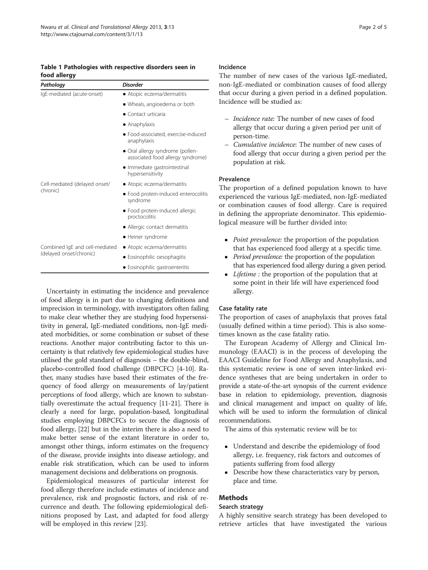<span id="page-1-0"></span>Table 1 Pathologies with respective disorders seen in food allergy

| Pathology                                                 | <b>Disorder</b>                                                       |
|-----------------------------------------------------------|-----------------------------------------------------------------------|
| IgE-mediated (acute-onset)                                | • Atopic eczema/dermatitis                                            |
|                                                           | • Wheals, angioedema or both                                          |
|                                                           | • Contact urticaria                                                   |
|                                                           | • Anaphylaxis                                                         |
|                                                           | • Food-associated, exercise-induced<br>anaphylaxis                    |
|                                                           | · Oral allergy syndrome (pollen-<br>associated food allergy syndrome) |
|                                                           | • Immediate gastrointestinal<br>hypersensitivity                      |
| Cell-mediated (delayed onset/<br>chronic)                 | • Atopic eczema/dermatitis                                            |
|                                                           | • Food protein-induced enterocolitis<br>syndrome                      |
|                                                           | • Food protein-induced allergic<br>proctocolitis                      |
|                                                           | • Allergic contact dermatitis                                         |
|                                                           | • Heiner syndrome                                                     |
| Combined IgE and cell-mediated<br>(delayed onset/chronic) | • Atopic eczema/dermatitis                                            |
|                                                           | • Eosinophilic oesophagitis                                           |
|                                                           | • Eosinophilic gastroenteritis                                        |

Uncertainty in estimating the incidence and prevalence of food allergy is in part due to changing definitions and imprecision in terminology, with investigators often failing to make clear whether they are studying food hypersensitivity in general, IgE-mediated conditions, non-IgE mediated morbidities, or some combination or subset of these reactions. Another major contributing factor to this uncertainty is that relatively few epidemiological studies have utilised the gold standard of diagnosis – the double-blind, placebo-controlled food challenge (DBPCFC) [\[4](#page-4-0)-[10](#page-4-0)]. Rather, many studies have based their estimates of the frequency of food allergy on measurements of lay/patient perceptions of food allergy, which are known to substantially overestimate the actual frequency [[11](#page-4-0)-[21\]](#page-4-0). There is clearly a need for large, population-based, longitudinal studies employing DBPCFCs to secure the diagnosis of food allergy, [[22](#page-4-0)] but in the interim there is also a need to make better sense of the extant literature in order to, amongst other things, inform estimates on the frequency of the disease, provide insights into disease aetiology, and enable risk stratification, which can be used to inform management decisions and deliberations on prognosis.

Epidemiological measures of particular interest for food allergy therefore include estimates of incidence and prevalence, risk and prognostic factors, and risk of recurrence and death. The following epidemiological definitions proposed by Last, and adapted for food allergy will be employed in this review [\[23](#page-4-0)].

# Incidence

The number of new cases of the various IgE-mediated, non-IgE-mediated or combination causes of food allergy that occur during a given period in a defined population. Incidence will be studied as:

- Incidence rate: The number of new cases of food allergy that occur during a given period per unit of person-time.
- Cumulative incidence: The number of new cases of food allergy that occur during a given period per the population at risk.

# Prevalence

The proportion of a defined population known to have experienced the various IgE-mediated, non-IgE-mediated or combination causes of food allergy. Care is required in defining the appropriate denominator. This epidemiological measure will be further divided into:

- *Point prevalence:* the proportion of the population that has experienced food allergy at a specific time.
- Period prevalence: the proportion of the population that has experienced food allergy during a given period.
- Lifetime : the proportion of the population that at some point in their life will have experienced food allergy.

# Case fatality rate

The proportion of cases of anaphylaxis that proves fatal (usually defined within a time period). This is also sometimes known as the case fatality ratio.

The European Academy of Allergy and Clinical Immunology (EAACI) is in the process of developing the EAACI Guideline for Food Allergy and Anaphylaxis, and this systematic review is one of seven inter-linked evidence syntheses that are being undertaken in order to provide a state-of-the-art synopsis of the current evidence base in relation to epidemiology, prevention, diagnosis and clinical management and impact on quality of life, which will be used to inform the formulation of clinical recommendations.

The aims of this systematic review will be to:

- Understand and describe the epidemiology of food allergy, i.e. frequency, risk factors and outcomes of patients suffering from food allergy
- Describe how these characteristics vary by person, place and time.

# Methods

# Search strategy

A highly sensitive search strategy has been developed to retrieve articles that have investigated the various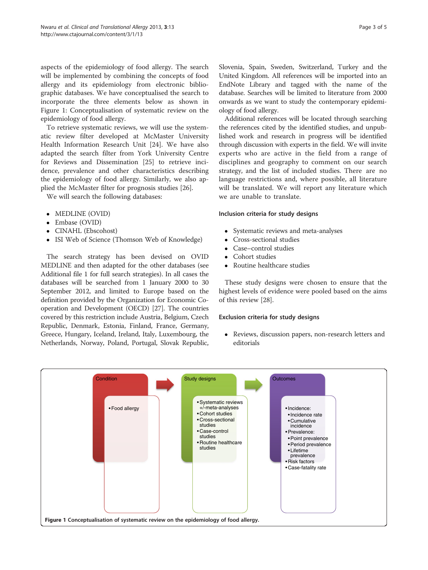aspects of the epidemiology of food allergy. The search will be implemented by combining the concepts of food allergy and its epidemiology from electronic bibliographic databases. We have conceptualised the search to incorporate the three elements below as shown in Figure 1: Conceptualisation of systematic review on the epidemiology of food allergy.

To retrieve systematic reviews, we will use the systematic review filter developed at McMaster University Health Information Research Unit [\[24](#page-4-0)]. We have also adapted the search filter from York University Centre for Reviews and Dissemination [[25\]](#page-4-0) to retrieve incidence, prevalence and other characteristics describing the epidemiology of food allergy. Similarly, we also applied the McMaster filter for prognosis studies [[26\]](#page-4-0).

We will search the following databases:

- MEDLINE (OVID)
- Embase (OVID)
- CINAHL (Ebscohost)
- ISI Web of Science (Thomson Web of Knowledge)

The search strategy has been devised on OVID MEDLINE and then adapted for the other databases (see Additional file [1](#page-3-0) for full search strategies). In all cases the databases will be searched from 1 January 2000 to 30 September 2012, and limited to Europe based on the definition provided by the Organization for Economic Cooperation and Development (OECD) [[27](#page-4-0)]. The countries covered by this restriction include Austria, Belgium, Czech Republic, Denmark, Estonia, Finland, France, Germany, Greece, Hungary, Iceland, Ireland, Italy, Luxembourg, the Netherlands, Norway, Poland, Portugal, Slovak Republic, Slovenia, Spain, Sweden, Switzerland, Turkey and the United Kingdom. All references will be imported into an EndNote Library and tagged with the name of the database. Searches will be limited to literature from 2000 onwards as we want to study the contemporary epidemiology of food allergy.

Additional references will be located through searching the references cited by the identified studies, and unpublished work and research in progress will be identified through discussion with experts in the field. We will invite experts who are active in the field from a range of disciplines and geography to comment on our search strategy, and the list of included studies. There are no language restrictions and, where possible, all literature will be translated. We will report any literature which we are unable to translate.

# Inclusion criteria for study designs

- Systematic reviews and meta-analyses
- Cross-sectional studies
- Case–control studies<br>• Cobort studies
- Cohort studies
- Routine healthcare studies

These study designs were chosen to ensure that the highest levels of evidence were pooled based on the aims of this review [[28\]](#page-4-0).

### Exclusion criteria for study designs

 Reviews, discussion papers, non-research letters and editorials

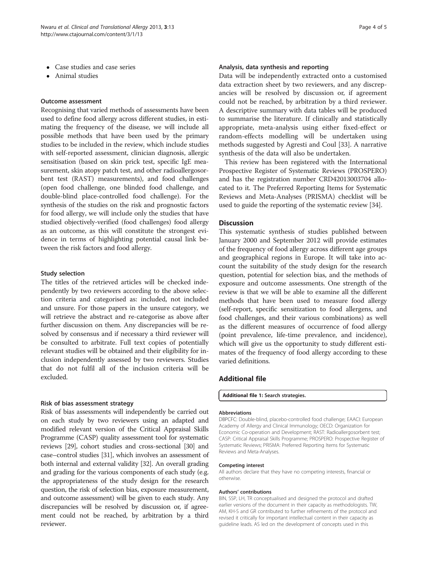- <span id="page-3-0"></span>Case studies and case series
- Animal studies

#### Outcome assessment

Recognising that varied methods of assessments have been used to define food allergy across different studies, in estimating the frequency of the disease, we will include all possible methods that have been used by the primary studies to be included in the review, which include studies with self-reported assessment, clinician diagnosis, allergic sensitisation (based on skin prick test, specific IgE measurement, skin atopy patch test, and other radioallergosorbent test (RAST) measurements), and food challenges (open food challenge, one blinded food challenge, and double-blind place-controlled food challenge). For the synthesis of the studies on the risk and prognostic factors for food allergy, we will include only the studies that have studied objectively-verified (food challenges) food allergy as an outcome, as this will constitute the strongest evidence in terms of highlighting potential causal link between the risk factors and food allergy.

#### Study selection

The titles of the retrieved articles will be checked independently by two reviewers according to the above selection criteria and categorised as: included, not included and unsure. For those papers in the unsure category, we will retrieve the abstract and re-categorise as above after further discussion on them. Any discrepancies will be resolved by consensus and if necessary a third reviewer will be consulted to arbitrate. Full text copies of potentially relevant studies will be obtained and their eligibility for inclusion independently assessed by two reviewers. Studies that do not fulfil all of the inclusion criteria will be excluded.

### Risk of bias assessment strategy

Risk of bias assessments will independently be carried out on each study by two reviewers using an adapted and modified relevant version of the Critical Appraisal Skills Programme (CASP) quality assessment tool for systematic reviews [\[29\]](#page-4-0), cohort studies and cross-sectional [\[30](#page-4-0)] and case–control studies [\[31](#page-4-0)], which involves an assessment of both internal and external validity [\[32](#page-4-0)]. An overall grading and grading for the various components of each study (e.g. the appropriateness of the study design for the research question, the risk of selection bias, exposure measurement, and outcome assessment) will be given to each study. Any discrepancies will be resolved by discussion or, if agreement could not be reached, by arbitration by a third reviewer.

#### Analysis, data synthesis and reporting

Data will be independently extracted onto a customised data extraction sheet by two reviewers, and any discrepancies will be resolved by discussion or, if agreement could not be reached, by arbitration by a third reviewer. A descriptive summary with data tables will be produced to summarise the literature. If clinically and statistically appropriate, meta-analysis using either fixed-effect or random-effects modelling will be undertaken using methods suggested by Agresti and Coul [\[33](#page-4-0)]. A narrative synthesis of the data will also be undertaken.

This review has been registered with the International Prospective Register of Systematic Reviews (PROSPERO) and has the registration number CRD42013003704 allocated to it. The Preferred Reporting Items for Systematic Reviews and Meta-Analyses (PRISMA) checklist will be used to guide the reporting of the systematic review [\[34\]](#page-4-0).

# **Discussion**

This systematic synthesis of studies published between January 2000 and September 2012 will provide estimates of the frequency of food allergy across different age groups and geographical regions in Europe. It will take into account the suitability of the study design for the research question, potential for selection bias, and the methods of exposure and outcome assessments. One strength of the review is that we will be able to examine all the different methods that have been used to measure food allergy (self-report, specific sensitization to food allergens, and food challenges, and their various combinations) as well as the different measures of occurrence of food allergy (point prevalence, life-time prevalence, and incidence), which will give us the opportunity to study different estimates of the frequency of food allergy according to these varied definitions.

### Additional file

[Additional file 1:](http://www.biomedcentral.com/content/supplementary/2045-7022-3-13-S1.docx) Search strategies.

#### Abbreviations

DBPCFC: Double-blind, placebo-controlled food challenge; EAACI: European Academy of Allergy and Clinical Immunology; OECD: Organization for Economic Co-operation and Development; RAST: Radioallergosorbent test; CASP: Critical Appraisal Skills Programme; PROSPERO: Prospective Register of Systematic Reviews; PRISMA: Preferred Reporting Items for Systematic Reviews and Meta-Analyses.

#### Competing interest

All authors declare that they have no competing interests, financial or otherwise.

#### Authors' contributions

BIN, SSP, LH, TR conceptualised and designed the protocol and drafted earlier versions of the document in their capacity as methodologists. TW, AM, KH-S and GR contributed to further refinements of the protocol and revised it critically for important intellectual content in their capacity as guideline leads. AS led on the development of concepts used in this